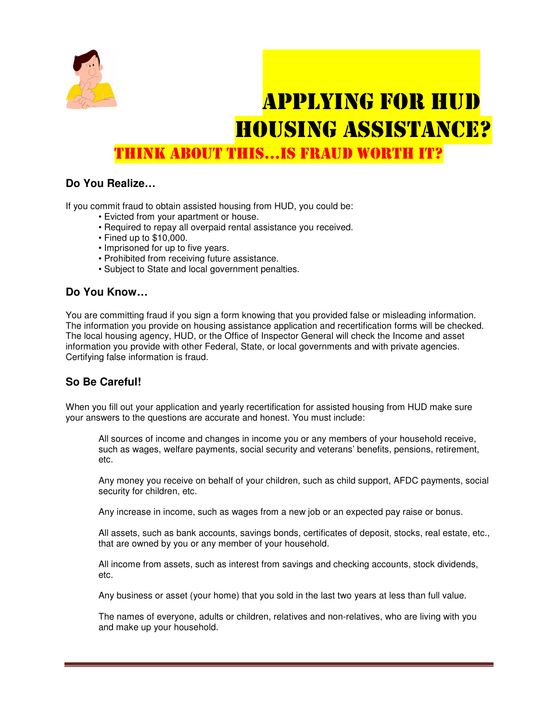

# APPLYING FOR HUD HOUSING ASSISTANCE?

THINK ABOUT THIS…IS FRAUD WORTH IT?

## **Do You Realize…**

If you commit fraud to obtain assisted housing from HUD, you could be:

- Evicted from your apartment or house.
- Required to repay all overpaid rental assistance you received.
- Fined up to \$10,000.
- Imprisoned for up to five years.
- Prohibited from receiving future assistance.
- Subject to State and local government penalties.

#### **Do You Know…**

You are committing fraud if you sign a form knowing that you provided false or misleading information. The information you provide on housing assistance application and recertification forms will be checked. The local housing agency, HUD, or the Office of Inspector General will check the Income and asset information you provide with other Federal, State, or local governments and with private agencies. Certifying false information is fraud.

## **So Be Careful!**

When you fill out your application and yearly recertification for assisted housing from HUD make sure your answers to the questions are accurate and honest. You must include:

All sources of income and changes in income you or any members of your household receive, such as wages, welfare payments, social security and veterans' benefits, pensions, retirement, etc.

Any money you receive on behalf of your children, such as child support, AFDC payments, social security for children, etc.

Any increase in income, such as wages from a new job or an expected pay raise or bonus.

All assets, such as bank accounts, savings bonds, certificates of deposit, stocks, real estate, etc., that are owned by you or any member of your household.

All income from assets, such as interest from savings and checking accounts, stock dividends, etc.

Any business or asset (your home) that you sold in the last two years at less than full value.

The names of everyone, adults or children, relatives and non-relatives, who are living with you and make up your household.